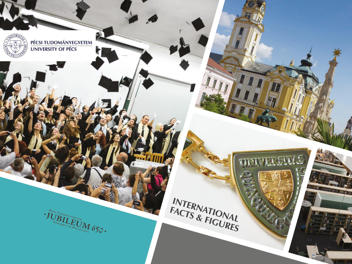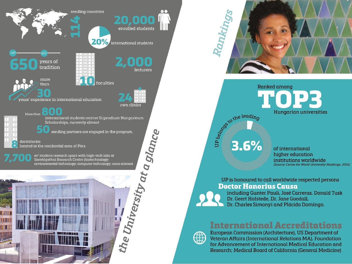



**Ranked among** on the leading Hungarian universities

of international higher education institutions worldwide (Source: Center for World University Rankings, 2016)

#### UP is honoured to call worldwide respected persons **Doctor Honorius Causa**

3.6%

including Gunter Pauli, José Carreras, Donald Tusk Dr. Geert Hofstede, Dr. Jane Goodall, Dr. Charles Simonyi and Plácido Domingo.

#### **International Accreditations**



European Commission (Architecture), US Department of Veteran Affairs (International Relations MA), Foundation for Advancement of International Medical Education and Research; Medical Board of California (General Medicine)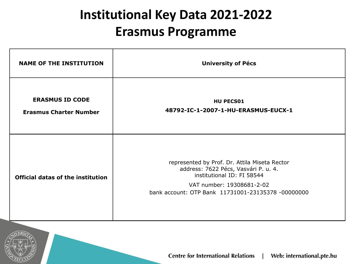# **Institutional Key Data 2021-2022 Erasmus Programme**

| <b>NAME OF THE INSTITUTION</b>                          | <b>University of Pécs</b>                                                                                                                                                                              |
|---------------------------------------------------------|--------------------------------------------------------------------------------------------------------------------------------------------------------------------------------------------------------|
| <b>ERASMUS ID CODE</b><br><b>Erasmus Charter Number</b> | <b>HU PECS01</b><br>48792-IC-1-2007-1-HU-ERASMUS-EUCX-1                                                                                                                                                |
| <b>Official datas of the institution</b>                | represented by Prof. Dr. Attila Miseta Rector<br>address: 7622 Pécs, Vasvári P. u. 4.<br>institutional ID: FI 58544<br>VAT number: 19308681-2-02<br>bank account: OTP Bank 11731001-23135378 -00000000 |

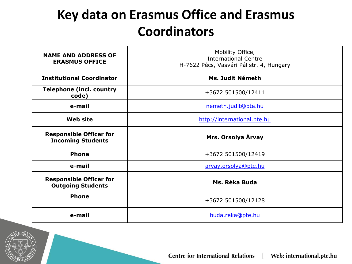# **Key data on Erasmus Office and Erasmus Coordinators**

| <b>NAME AND ADDRESS OF</b><br><b>ERASMUS OFFICE</b>        | Mobility Office,<br><b>International Centre</b><br>H-7622 Pécs, Vasvári Pál str. 4, Hungary |
|------------------------------------------------------------|---------------------------------------------------------------------------------------------|
| <b>Institutional Coordinator</b>                           | Ms. Judit Németh                                                                            |
| <b>Telephone (incl. country</b><br>code)                   | +3672 501500/12411                                                                          |
| e-mail                                                     | nemeth.judit@pte.hu                                                                         |
| <b>Web site</b>                                            | http://international.pte.hu                                                                 |
| <b>Responsible Officer for</b><br><b>Incoming Students</b> | Mrs. Orsolya Árvay                                                                          |
| <b>Phone</b>                                               | +3672 501500/12419                                                                          |
| e-mail                                                     | arvay.orsolya@pte.hu                                                                        |
| <b>Responsible Officer for</b><br><b>Outgoing Students</b> | Ms. Réka Buda                                                                               |
| <b>Phone</b>                                               | +3672 501500/12128                                                                          |
| e-mail                                                     | buda.reka@pte.hu                                                                            |

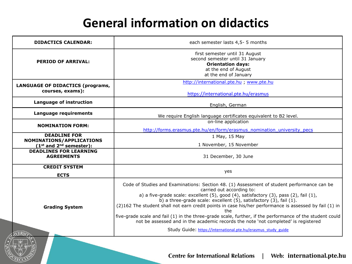# **General information on didactics**

| <b>DIDACTICS CALENDAR:</b>                                                     | each semester lasts 4,5-5 months                                                                                                                                                                                                                                                                                                                                                                                                                                                                                                                                                                                                                                                          |
|--------------------------------------------------------------------------------|-------------------------------------------------------------------------------------------------------------------------------------------------------------------------------------------------------------------------------------------------------------------------------------------------------------------------------------------------------------------------------------------------------------------------------------------------------------------------------------------------------------------------------------------------------------------------------------------------------------------------------------------------------------------------------------------|
| <b>PERIOD OF ARRIVAL:</b>                                                      | first semester until 31 August<br>second semester until 31 January<br><b>Orientation days:</b><br>at the end of August<br>at the end of January                                                                                                                                                                                                                                                                                                                                                                                                                                                                                                                                           |
| <b>LANGUAGE OF DIDACTICS (programs,</b><br>courses, exams):                    | http://international.pte.hu ; www.pte.hu<br>https://international.pte.hu/erasmus                                                                                                                                                                                                                                                                                                                                                                                                                                                                                                                                                                                                          |
| Language of instruction                                                        | English, German                                                                                                                                                                                                                                                                                                                                                                                                                                                                                                                                                                                                                                                                           |
| Language requirements                                                          | We require English language certificates equivalent to B2 level.                                                                                                                                                                                                                                                                                                                                                                                                                                                                                                                                                                                                                          |
| <b>NOMINATION FORM:</b>                                                        | on-line application<br>http://forms.erasmus.pte.hu/en/form/erasmus_nomination_university_pecs                                                                                                                                                                                                                                                                                                                                                                                                                                                                                                                                                                                             |
| <b>DEADLINE FOR</b><br>NOMINATIONS/APPLICATIONS<br>$(1st$ and $2nd$ semester): | 1 May, 15 May<br>1 November, 15 November                                                                                                                                                                                                                                                                                                                                                                                                                                                                                                                                                                                                                                                  |
| <b>DEADLINES FOR LEARNING</b><br><b>AGREEMENTS</b>                             | 31 December, 30 June                                                                                                                                                                                                                                                                                                                                                                                                                                                                                                                                                                                                                                                                      |
| <b>CREDIT SYSTEM</b><br><b>ECTS</b>                                            | yes                                                                                                                                                                                                                                                                                                                                                                                                                                                                                                                                                                                                                                                                                       |
| <b>Grading System</b>                                                          | Code of Studies and Examinations: Section 48. (1) Assessment of student performance can be<br>carried out according to:<br>a) a five-grade scale: excellent $(5)$ , good $(4)$ , satisfactory $(3)$ , pass $(2)$ , fail $(1)$ ,<br>b) a three-grade scale: excellent (5), satisfactory (3), fail (1).<br>(2)162 The student shall not earn credit points in case his/her performance is assessed by fail (1) in<br>the<br>five-grade scale and fail (1) in the three-grade scale, further, if the performance of the student could<br>not be assessed and in the academic records the note 'not completed' is registered<br>Study Guide: https://international.pte.hu/erasmus study guide |
|                                                                                |                                                                                                                                                                                                                                                                                                                                                                                                                                                                                                                                                                                                                                                                                           |

**Centre for International Relations international.pte.hu**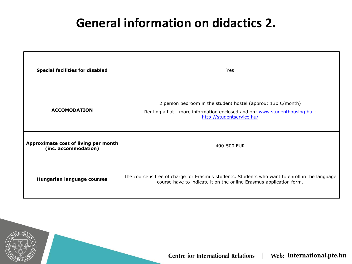## **General information on didactics 2.**

| <b>Special facilities for disabled</b>                       | Yes                                                                                                                                                                               |
|--------------------------------------------------------------|-----------------------------------------------------------------------------------------------------------------------------------------------------------------------------------|
| <b>ACCOMODATION</b>                                          | 2 person bedroom in the student hostel (approx: $130 \epsilon$ /month)<br>Renting a flat - more information enclosed and on: www.studenthousing.hu ;<br>http://studentservice.hu/ |
| Approximate cost of living per month<br>(inc. accommodation) | 400-500 EUR                                                                                                                                                                       |
| Hungarian language courses                                   | The course is free of charge for Erasmus students. Students who want to enroll in the language<br>course have to indicate it on the online Erasmus application form.              |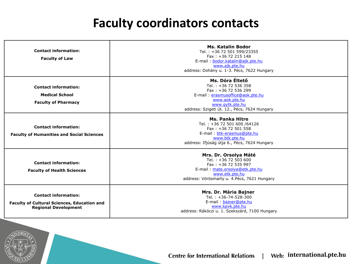### **Faculty coordinators contacts**

| <b>Contact information:</b><br><b>Faculty of Law</b>                                                             | <b>Ms. Katalin Bodor</b><br>Tel.: +36 72 501 599/23355<br>Fax: +36 72 215 148<br>E-mail: bodor.katalin@ajk.pte.hu<br>www.ajk.pte.hu<br>address: Dohány u. 1-3. Pécs, 7622 Hungary         |
|------------------------------------------------------------------------------------------------------------------|-------------------------------------------------------------------------------------------------------------------------------------------------------------------------------------------|
| <b>Contact information:</b><br><b>Medical School</b><br><b>Faculty of Pharmacy</b>                               | Ms. Dóra Éltető<br>Tel.: +36 72 536 358<br>Fax: $+36$ 72 536 299<br>E-mail: erasmusoffice@aok.pte.hu<br>www.aok.pte.hu<br>www.avtk.pte.hu<br>address: Szigeti út. 12., Pécs, 7624 Hungary |
| <b>Contact information:</b><br><b>Faculty of Humanities and Social Sciences</b>                                  | <b>Ms. Panka Hitre</b><br>Tel.: +36 72 501 600 /64126<br>Fax: +36 72 501 558<br>E-mail: btk-erasmus@pte.hu<br>www.btk.pte.hu<br>address: Ifjúság útja 6., Pécs, 7624 Hungary              |
| <b>Contact information:</b><br><b>Faculty of Health Sciences</b>                                                 | Mrs. Dr. Orsolya Máté<br>Tel.: +36 72 503 600<br>Fax: +36 72 535 997<br>E-mail: mate.orsolya@etk.pte.hu<br>www.etk.pte.hu<br>address: Vörösmarty u. 4. Pécs, 7621 Hungary                 |
| <b>Contact information:</b><br><b>Faculty of Cultural Sciences, Education and</b><br><b>Regional Development</b> | Mrs. Dr. Mária Bajner<br>Tel.: $+36-74-528-300$<br>E-mail: bainer@pte.hu<br>www.kpvk.pte.hu<br>address: Rákóczi u. 1. Szekszárd, 7100 Hungary                                             |